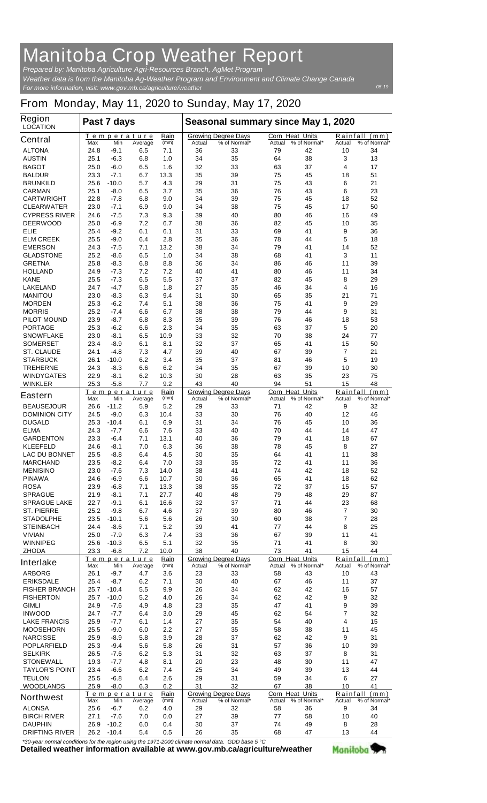## **Manitoba Crop Weather Report**

*For more information, visit: www.gov.mb.ca/agriculture/weather Prepared by: Manitoba Agriculture Agri-Resources Branch, AgMet Program Weather data is from the Manitoba Ag-Weather Program and Environment and Climate Change Canada*

## **From Monday, May 11, 2020 to Sunday, May 17, 2020**

| <b>Region</b><br><b>LOCATION</b>     | Past 7 days  |                  |                        |              | Seasonal summary since May 1, 2020 |                                            |                                  |              |                    |                               |
|--------------------------------------|--------------|------------------|------------------------|--------------|------------------------------------|--------------------------------------------|----------------------------------|--------------|--------------------|-------------------------------|
| <b>Central</b>                       | Max          | Min              | Temperature<br>Average | Rain<br>(mm) | Actual                             | <b>Growing Degree Days</b><br>% of Normal* | <b>Corn Heat Units</b><br>Actual | % of Normal* | Rainfall<br>Actual | (mm)<br>% of Normal*          |
| <b>ALTONA</b>                        | 24.8         | -9.1             | 6.5                    | 7.1          | 36                                 | 33                                         | 79                               | 42           | 10                 | 34                            |
| <b>AUSTIN</b>                        | 25.1         | $-6.3$<br>$-6.0$ | 6.8<br>6.5             | 1.0          | 34<br>32                           | 35<br>33                                   | 64<br>63                         | 38<br>37     | 3<br>4             | 13<br>17                      |
| <b>BAGOT</b><br><b>BALDUR</b>        | 25.0<br>23.3 | $-7.1$           | 6.7                    | 1.6<br>13.3  | 35                                 | 39                                         | 75                               | 45           | 18                 | 51                            |
| <b>BRUNKILD</b>                      | 25.6         | $-10.0$          | 5.7                    | 4.3          | 29                                 | 31                                         | 75                               | 43           | 6                  | 21                            |
| <b>CARMAN</b>                        | 25.1         | -8.0             | 6.5                    | 3.7          | 35                                 | 36                                         | 76                               | 43           | 6                  | 23                            |
| <b>CARTWRIGHT</b>                    | 22.8         | -7.8             | 6.8                    | 9.0          | 34                                 | 39                                         | 75                               | 45           | 18                 | 52                            |
| <b>CLEARWATER</b>                    | 23.0         | $-7.1$           | 6.9                    | 9.0          | 34                                 | 38                                         | 75                               | 45           | 17                 | 50                            |
| <b>CYPRESS RIVER</b>                 | 24.6         | $-7.5$           | 7.3                    | 9.3          | 39                                 | 40                                         | 80                               | 46           | 16                 | 49                            |
| <b>DEERWOOD</b>                      | 25.0         | -6.9             | 7.2                    | 6.7          | 38                                 | 36                                         | 82                               | 45           | 10                 | 35                            |
| <b>ELIE</b>                          | 25.4         | $-9.2$           | 6.1                    | 6.1          | 31                                 | 33                                         | 69                               | 41           | 9                  | 36                            |
| <b>ELM CREEK</b>                     | 25.5         | -9.0             | 6.4                    | 2.8          | 35                                 | 36                                         | 78                               | 44           | 5                  | 18                            |
| <b>EMERSON</b>                       | 24.3         | -7.5             | 7.1                    | 13.2         | 38                                 | 34                                         | 79                               | 41           | 14                 | 52                            |
| <b>GLADSTONE</b>                     | 25.2         | -8.6             | 6.5                    | 1.0          | 34                                 | 38                                         | 68                               | 41           | 3                  | 11                            |
| <b>GRETNA</b>                        | 25.8         | $-8.3$<br>$-7.3$ | 6.8<br>7.2             | 8.8          | 36                                 | 34<br>41                                   | 86<br>80                         | 46           | 11                 | 39                            |
| <b>HOLLAND</b><br><b>KANE</b>        | 24.9<br>25.5 | $-7.3$           | 6.5                    | 7.2<br>5.5   | 40<br>37                           | 37                                         | 82                               | 46<br>45     | 11<br>8            | 34<br>29                      |
| <b>LAKELAND</b>                      | 24.7         | $-4.7$           | 5.8                    | 1.8          | 27                                 | 35                                         | 46                               | 34           | 4                  | 16                            |
| <b>MANITOU</b>                       | 23.0         | $-8.3$           | 6.3                    | 9.4          | 31                                 | 30                                         | 65                               | 35           | 21                 | 71                            |
| <b>MORDEN</b>                        | 25.3         | -6.2             | 7.4                    | 5.1          | 38                                 | 36                                         | 75                               | 41           | 9                  | 29                            |
| <b>MORRIS</b>                        | 25.2         | -7.4             | 6.6                    | 6.7          | 38                                 | 38                                         | 79                               | 44           | 9                  | 31                            |
| <b>PILOT MOUND</b>                   | 23.9         | $-8.7$           | 6.8                    | 8.3          | 35                                 | 39                                         | 76                               | 46           | 18                 | 53                            |
| <b>PORTAGE</b>                       | 25.3         | $-6.2$           | 6.6                    | 2.3          | 34                                 | 35                                         | 63                               | 37           | 5                  | 20                            |
| <b>SNOWFLAKE</b>                     | 23.0         | -8.1             | 6.5                    | 10.9         | 33                                 | 32                                         | 70                               | 38           | 24                 | 77                            |
| <b>SOMERSET</b>                      | 23.4         | $-8.9$           | 6.1                    | 8.1          | 32                                 | 37                                         | 65                               | 41           | 15                 | 50                            |
| <b>ST. CLAUDE</b>                    | 24.1         | -4.8             | 7.3                    | 4.7          | 39                                 | 40                                         | 67                               | 39           | 7                  | 21                            |
| <b>STARBUCK</b>                      | 26.1         | $-10.0$          | 6.2                    | 3.4          | 35                                 | 37                                         | 81                               | 46           | 5                  | 19                            |
| <b>TREHERNE</b>                      | 24.3         | $-8.3$           | 6.6                    | 6.2          | 34                                 | 35                                         | 67                               | 39           | 10                 | 30                            |
| <b>WINDYGATES</b>                    | 22.9         | -8.1             | 6.2                    | 10.3         | 30                                 | 28<br>40                                   | 63                               | 35           | 23                 | 75                            |
| <b>WINKLER</b>                       | 25.3         | $-5.8$           | 7.7<br>Temperature     | 9.2<br>Rain  | 43                                 | <b>Growing Degree Days</b>                 | 94<br><b>Corn Heat Units</b>     | 51           | 15<br>Rainfall     | 48<br>(mm)                    |
| <b>Eastern</b>                       | Max          | Min              | Average                | (mm)         | Actual                             | % of Normal*                               | Actual                           | % of Normal* | Actual             | % of Normal*                  |
| <b>BEAUSEJOUR</b>                    | 26.6         | $-11.2$          | 5.9                    | 5.2          | 29                                 | 33                                         | 71                               | 42           | 9                  | 32                            |
| <b>DOMINION CITY</b>                 | 24.5         | -9.0             | 6.3                    | 10.4         | 33                                 | 30                                         | 76                               | 40           | 12                 | 46                            |
| <b>DUGALD</b>                        | 25.3         | $-10.4$          | 6.1                    | 6.9          | 31                                 | 34                                         | 76                               | 45           | 10                 | 36                            |
| <b>ELMA</b>                          | 24.3         | -7.7             | 6.6                    | 7.6          | 33                                 | 40                                         | 70                               | 44           | 14                 | 47                            |
| <b>GARDENTON</b>                     | 23.3         | -6.4             | 7.1                    | 13.1         | 40                                 | 36                                         | 79                               | 41           | 18                 | 67                            |
| <b>KLEEFELD</b>                      | 24.6         | -8.1             | 7.0                    | 6.3          | 36                                 | 38                                         | 78                               | 45           | 8                  | 27                            |
| <b>LAC DU BONNET</b>                 | 25.5         | -8.8             | 6.4                    | 4.5          | 30                                 | 35                                         | 64                               | 41           | 11                 | 38                            |
| <b>MARCHAND</b>                      | 23.5<br>23.0 | -8.2<br>$-7.6$   | 6.4<br>7.3             | 7.0          | 33<br>38                           | 35                                         | 72<br>74                         | 41<br>42     | 11<br>18           | 36<br>52                      |
| <b>MENISINO</b><br><b>PINAWA</b>     | 24.6         | -6.9             | 6.6                    | 14.0<br>10.7 | 30                                 | 41<br>36                                   | 65                               | 41           | 18                 | 62                            |
| <b>ROSA</b>                          | 23.9         | -6.8             | 7.1                    | 13.3         | 38                                 | 35                                         | 72                               | 37           | 15                 | 57                            |
| <b>SPRAGUE</b>                       | 21.9         | -8.1             | 7.1                    | 27.7         | 40                                 | 48                                         | 79                               | 48           | 29                 | 87                            |
| <b>SPRAGUE LAKE</b>                  | 22.7         | $-9.1$           | 6.1                    | 16.6         | 32                                 | 37                                         | 71                               | 44           | 23                 | 68                            |
| <b>ST. PIERRE</b>                    | 25.2         | -9.8             | 6.7                    | 4.6          | 37                                 | 39                                         | 80                               | 46           | $\overline{7}$     | 30                            |
| <b>STADOLPHE</b>                     | 23.5         | $-10.1$          | 5.6                    | 5.6          | 26                                 | 30                                         | 60                               | 38           | 7                  | 28                            |
| <b>STEINBACH</b>                     | 24.4         | -8.6             | 7.1                    | 5.2          | 39                                 | 41                                         | 77                               | 44           | 8                  | 25                            |
| <b>VIVIAN</b>                        | 25.0         | $-7.9$           | 6.3                    | 7.4          | 33                                 | 36                                         | 67                               | 39           | 11                 | 41                            |
| <b>WINNIPEG</b>                      | 25.6         | $-10.3$          | 6.5                    | 5.1          | 32                                 | 35                                         | 71                               | 41           | 8                  | 30                            |
| <b>ZHODA</b>                         | 23.3         | $-6.8$           | 7.2                    | 10.0         | 38                                 | 40                                         | 73                               | 41           | 15                 | 44                            |
| <b>Interlake</b>                     | Max          | Min              | Temperature<br>Average | Rain<br>(mm) | Actual                             | <b>Growing Degree Days</b><br>% of Normal* | <b>Corn Heat Units</b><br>Actual | % of Normal* | Rainfall<br>Actual | (mm)<br>% of Normal*          |
| <b>ARBORG</b>                        | 26.1         | -9.7             | 4.7                    | 3.6          | 23                                 | 33                                         | 58                               | 43           | 10                 | 43                            |
| <b>ERIKSDALE</b>                     | 25.4         | -8.7             | 6.2                    | 7.1          | 30                                 | 40                                         | 67                               | 46           | 11                 | 37                            |
| <b>FISHER BRANCH</b>                 | 25.7         | $-10.4$          | 5.5                    | 9.9          | 26                                 | 34                                         | 62                               | 42           | 16                 | 57                            |
| <b>FISHERTON</b>                     | 25.7         | $-10.0$          | 5.2                    | 4.0          | 26                                 | 34                                         | 62                               | 42           | 9                  | 32                            |
| <b>GIMLI</b>                         | 24.9         | -7.6             | 4.9                    | 4.8          | 23                                 | 35                                         | 47                               | 41           | 9                  | 39                            |
| <b>INWOOD</b>                        | 24.7         | $-7.7$           | 6.4                    | 3.0          | 29                                 | 45                                         | 62                               | 54           | $\overline{7}$     | 32                            |
| <b>LAKE FRANCIS</b>                  | 25.9         | -7.7             | 6.1                    | 1.4          | 27                                 | 35                                         | 54                               | 40           | 4                  | 15                            |
| <b>MOOSEHORN</b>                     | 25.5         | -9.0             | 6.0                    | 2.2          | 27                                 | 35                                         | 58                               | 38           | 11                 | 45                            |
| <b>NARCISSE</b>                      | 25.9         | -8.9             | 5.8                    | 3.9          | 28                                 | 37                                         | 62                               | 42           | 9                  | 31                            |
| <b>POPLARFIELD</b><br><b>SELKIRK</b> | 25.3<br>26.5 | -9.4<br>-7.6     | 5.6<br>6.2             | 5.8<br>5.3   | 26<br>31                           | 31<br>32                                   | 57<br>63                         | 36<br>37     | 10<br>8            | 39<br>31                      |
| <b>STONEWALL</b>                     | 19.3         | -7.7             | 4.8                    | 8.1          | 20                                 | 23                                         | 48                               | 30           | 11                 | 47                            |
| <b>TAYLOR'S POINT</b>                | 23.4         | -6.6             | 6.2                    | 7.4          | 25                                 | 34                                         | 49                               | 39           | 13                 | 44                            |
| <b>TEULON</b>                        | 25.5         | -6.8             | 6.4                    | 2.6          | 29                                 | 31                                         | 59                               | 34           | 6                  | 27                            |
| <b>WOODLANDS</b>                     | 25.9         | -8.0             | 6.3                    | 6.2          | 31                                 | 32                                         | 67                               | 38           | 10                 | 41                            |
| <b>Northwest</b>                     | Max          | Min              | Temperature<br>Average | Rain<br>(mm) | Actual                             | <b>Growing Degree Days</b><br>% of Normal* | Corn Heat Units<br>Actual        | % of Normal* | Actual             | Rainfall (mm)<br>% of Normal* |
| <b>ALONSA</b>                        | 25.6         | -6.7             | 6.2                    | 4.0          | 29                                 | 32                                         | 58                               | 36           | 9                  | 34                            |
| <b>BIRCH RIVER</b>                   | 27.1         | -7.6             | 7.0                    | 0.0          | 27                                 | 39                                         | 77                               | 58           | 10                 | 40                            |
| <b>DAUPHIN</b>                       | 26.9         | $-10.2$          | 6.0                    | 0.4          | 30                                 | 37                                         | 74                               | 49           | 8                  | 28                            |
| <b>DRIFTING RIVER</b>                | 26.2         | $-10.4$          | 5.4                    | 0.5          | 26                                 | 35                                         | 68                               | 47           | 13                 | 44                            |

**Detailed weather information available at www.gov.mb.ca/agriculture/weather** *\*30-year normal conditions for the region using the 1971-2000 climate normal data. GDD base 5 °C* 

Manitoba<sup>y</sup>